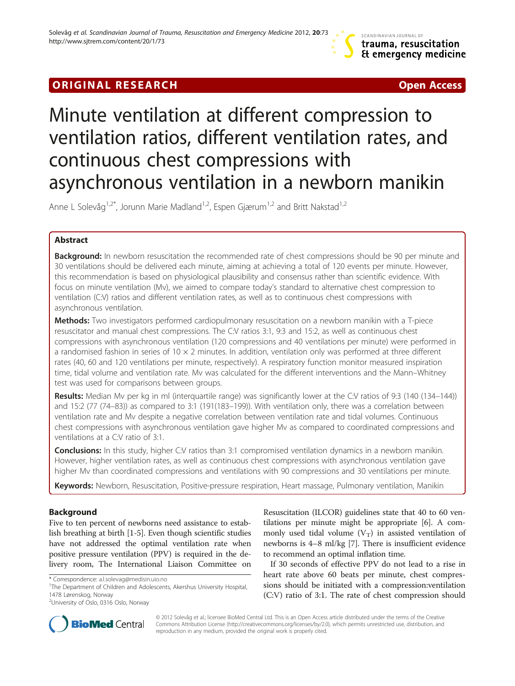# **ORIGINAL RESEARCH CHARGE ACCESS**

# Minute ventilation at different compression to ventilation ratios, different ventilation rates, and continuous chest compressions with asynchronous ventilation in a newborn manikin

Anne L Solevåg<sup>1,2\*</sup>, Jorunn Marie Madland<sup>1,2</sup>, Espen Gjærum<sup>1,2</sup> and Britt Nakstad<sup>1,2</sup>

# Abstract

Background: In newborn resuscitation the recommended rate of chest compressions should be 90 per minute and 30 ventilations should be delivered each minute, aiming at achieving a total of 120 events per minute. However, this recommendation is based on physiological plausibility and consensus rather than scientific evidence. With focus on minute ventilation (Mv), we aimed to compare today's standard to alternative chest compression to ventilation (C:V) ratios and different ventilation rates, as well as to continuous chest compressions with asynchronous ventilation.

Methods: Two investigators performed cardiopulmonary resuscitation on a newborn manikin with a T-piece resuscitator and manual chest compressions. The C:V ratios 3:1, 9:3 and 15:2, as well as continuous chest compressions with asynchronous ventilation (120 compressions and 40 ventilations per minute) were performed in a randomised fashion in series of  $10 \times 2$  minutes. In addition, ventilation only was performed at three different rates (40, 60 and 120 ventilations per minute, respectively). A respiratory function monitor measured inspiration time, tidal volume and ventilation rate. Mv was calculated for the different interventions and the Mann–Whitney test was used for comparisons between groups.

Results: Median Mv per kg in ml (interquartile range) was significantly lower at the C:V ratios of 9:3 (140 (134–144)) and 15:2 (77 (74–83)) as compared to 3:1 (191(183–199)). With ventilation only, there was a correlation between ventilation rate and Mv despite a negative correlation between ventilation rate and tidal volumes. Continuous chest compressions with asynchronous ventilation gave higher Mv as compared to coordinated compressions and ventilations at a C:V ratio of 3:1.

**Conclusions:** In this study, higher C:V ratios than 3:1 compromised ventilation dynamics in a newborn manikin. However, higher ventilation rates, as well as continuous chest compressions with asynchronous ventilation gave higher Mv than coordinated compressions and ventilations with 90 compressions and 30 ventilations per minute.

Keywords: Newborn, Resuscitation, Positive-pressure respiration, Heart massage, Pulmonary ventilation, Manikin

# Background

Five to ten percent of newborns need assistance to establish breathing at birth [\[1-5](#page-5-0)]. Even though scientific studies have not addressed the optimal ventilation rate when positive pressure ventilation (PPV) is required in the delivery room, The International Liaison Committee on

<sup>1</sup>The Department of Children and Adolescents, Akershus University Hospital, 1478 Lørenskog, Norway



If 30 seconds of effective PPV do not lead to a rise in heart rate above 60 beats per minute, chest compressions should be initiated with a compression:ventilation (C:V) ratio of 3:1. The rate of chest compression should



© 2012 Solevåg et al.; licensee BioMed Central Ltd. This is an Open Access article distributed under the terms of the Creative Commons Attribution License [\(http://creativecommons.org/licenses/by/2.0\)](http://creativecommons.org/licenses/by/2.0), which permits unrestricted use, distribution, and reproduction in any medium, provided the original work is properly cited.

<sup>\*</sup> Correspondence: [a.l.solevag@medisin.uio.no](mailto:a.l.solevag@medisin.uio.no) <sup>1</sup>

<sup>&</sup>lt;sup>2</sup>University of Oslo, 0316 Oslo, Norway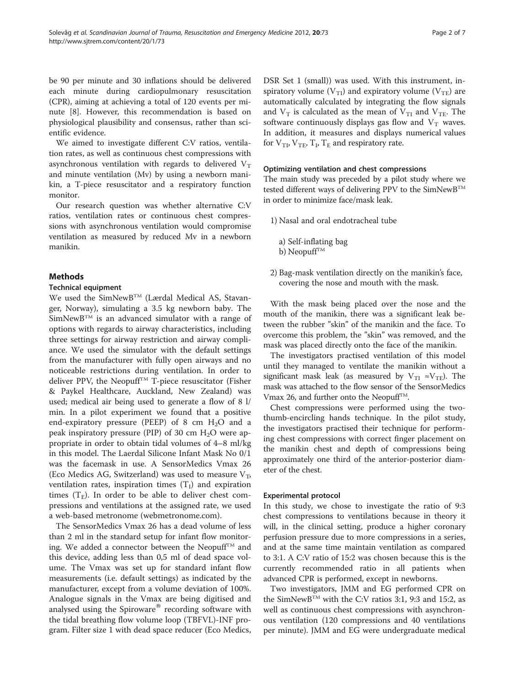be 90 per minute and 30 inflations should be delivered each minute during cardiopulmonary resuscitation (CPR), aiming at achieving a total of 120 events per minute [[8\]](#page-5-0). However, this recommendation is based on physiological plausibility and consensus, rather than scientific evidence.

We aimed to investigate different C:V ratios, ventilation rates, as well as continuous chest compressions with asynchronous ventilation with regards to delivered  $V_T$ and minute ventilation (Mv) by using a newborn manikin, a T-piece resuscitator and a respiratory function monitor.

Our research question was whether alternative C:V ratios, ventilation rates or continuous chest compressions with asynchronous ventilation would compromise ventilation as measured by reduced Mv in a newborn manikin.

### Methods

#### Technical equipment

We used the SimNewB<sup>TM</sup> (Lærdal Medical AS, Stavanger, Norway), simulating a 3.5 kg newborn baby. The  $SimNewB^{TM}$  is an advanced simulator with a range of options with regards to airway characteristics, including three settings for airway restriction and airway compliance. We used the simulator with the default settings from the manufacturer with fully open airways and no noticeable restrictions during ventilation. In order to deliver PPV, the Neopuff<sup>TM</sup> T-piece resuscitator (Fisher & Paykel Healthcare, Auckland, New Zealand) was used; medical air being used to generate a flow of 8 l/ min. In a pilot experiment we found that a positive end-expiratory pressure (PEEP) of 8 cm  $H_2O$  and a peak inspiratory pressure (PIP) of 30 cm  $H_2O$  were appropriate in order to obtain tidal volumes of 4–8 ml/kg in this model. The Laerdal Silicone Infant Mask No 0/1 was the facemask in use. A SensorMedics Vmax 26 (Eco Medics AG, Switzerland) was used to measure  $V_T$ , ventilation rates, inspiration times  $(T<sub>I</sub>)$  and expiration times  $(T_E)$ . In order to be able to deliver chest compressions and ventilations at the assigned rate, we used a web-based metronome (webmetronome.com).

The SensorMedics Vmax 26 has a dead volume of less than 2 ml in the standard setup for infant flow monitoring. We added a connector between the Neopuff<sup>TM</sup> and this device, adding less than 0,5 ml of dead space volume. The Vmax was set up for standard infant flow measurements (i.e. default settings) as indicated by the manufacturer, except from a volume deviation of 100%. Analogue signals in the Vmax are being digitised and analysed using the Spiroware® recording software with the tidal breathing flow volume loop (TBFVL)-INF program. Filter size 1 with dead space reducer (Eco Medics, DSR Set 1 (small)) was used. With this instrument, inspiratory volume ( $V_T$ I) and expiratory volume ( $V_T$ E) are automatically calculated by integrating the flow signals and  $V_T$  is calculated as the mean of  $V_{TI}$  and  $V_{TE}$ . The software continuously displays gas flow and  $V_T$  waves. In addition, it measures and displays numerical values for  $V_{\text{TL}}$ ,  $V_{\text{TE}}$ ,  $T_{\text{L}}$ ,  $T_{\text{E}}$  and respiratory rate.

#### Optimizing ventilation and chest compressions

The main study was preceded by a pilot study where we tested different ways of delivering PPV to the SimNewB<sup>TM</sup> in order to minimize face/mask leak.

- 1) Nasal and oral endotracheal tube
	- a) Self-inflating bag b) Neopuff<sup>TM</sup>
- 2) Bag-mask ventilation directly on the manikin's face, covering the nose and mouth with the mask.

With the mask being placed over the nose and the mouth of the manikin, there was a significant leak between the rubber "skin" of the manikin and the face. To overcome this problem, the "skin" was removed, and the mask was placed directly onto the face of the manikin.

The investigators practised ventilation of this model until they managed to ventilate the manikin without a significant mask leak (as measured by  $V_{\text{TI}} \approx V_{\text{TE}}$ ). The mask was attached to the flow sensor of the SensorMedics Vmax 26, and further onto the Neopuff<sup>TM</sup>.

Chest compressions were performed using the twothumb-encircling hands technique. In the pilot study, the investigators practised their technique for performing chest compressions with correct finger placement on the manikin chest and depth of compressions being approximately one third of the anterior-posterior diameter of the chest.

#### Experimental protocol

In this study, we chose to investigate the ratio of 9:3 chest compressions to ventilations because in theory it will, in the clinical setting, produce a higher coronary perfusion pressure due to more compressions in a series, and at the same time maintain ventilation as compared to 3:1. A C:V ratio of 15:2 was chosen because this is the currently recommended ratio in all patients when advanced CPR is performed, except in newborns.

Two investigators, JMM and EG performed CPR on the SimNewB<sup>TM</sup> with the C:V ratios 3:1, 9:3 and 15:2, as well as continuous chest compressions with asynchronous ventilation (120 compressions and 40 ventilations per minute). JMM and EG were undergraduate medical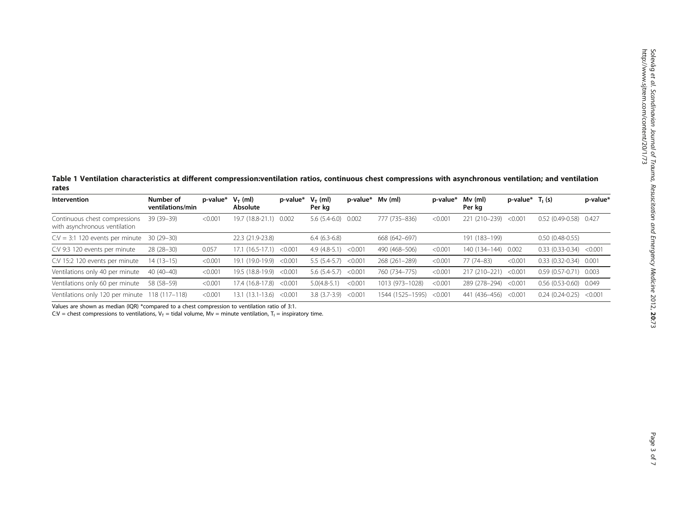<span id="page-2-0"></span>Table 1 Ventilation characteristics at different compression:ventilation ratios, continuous chest compressions with asynchronous ventilation; and ventilation rates

| Intervention                                                   | Number of<br>ventilations/min | p-value* | $V_T$ (ml)<br>Absolute | p-value* | $V_T$ (ml)<br>Per kg   | p-value* | Mv (ml)          | p-value* | Mv (ml)<br>Per kg    | p-value* | $T_1(s)$                  | p-value* |
|----------------------------------------------------------------|-------------------------------|----------|------------------------|----------|------------------------|----------|------------------|----------|----------------------|----------|---------------------------|----------|
| Continuous chest compressions<br>with asynchronous ventilation | $39(39-39)$                   | < 0.001  | 19.7 (18.8-21.1)       | 0.002    | $5.6(5.4-6.0)$         | 0.002    | 777 (735-836)    | < 0.001  | $(210 - 239)$<br>221 | < 0.001  | $0.52(0.49-0.58)0.427$    |          |
| $C:V = 3:1$ 120 events per minute                              | $30(29-30)$                   |          | 22.3 (21.9-23.8)       |          | $6.4(6.3-6.8)$         |          | 668 (642-697)    |          | 191 (183-199)        |          | $0.50(0.48-0.55)$         |          |
| C:V 9:3 120 events per minute                                  | $28(28-30)$                   | 0.057    | $17.1(16.5-17.1)$      | < 0.001  | $4.9(4.8-5.1) < 0.001$ |          | 490 (468-506)    | < 0.001  | 140 (134-144)        | 0.002    | $0.33(0.33-0.34) < 0.001$ |          |
| C:V 15:2 120 events per minute                                 | $14(13-15)$                   | < 0.001  | 19.1 (19.0-19.9)       | < 0.001  | $5.5(5.4-5.7)$         | < 0.001  | 268 (261-289)    | < 0.001  | 77 (74-83)           | < 0.001  | $0.33(0.32-0.34)0.001$    |          |
| Ventilations only 40 per minute                                | $40(40-40)$                   | < 0.001  | 19.5 (18.8-19.9)       | < 0.001  | $5.6(5.4-5.7) < 0.001$ |          | 760 (734-775)    | < 0.001  | 217 (210-221)        | < 0.001  | $0.59(0.57-0.71)$ 0.003   |          |
| Ventilations only 60 per minute                                | 58 (58-59)                    | < 0.001  | 17.4 (16.8-17.8)       | < 0.001  | $5.0(4.8-5.1)$         | < 0.001  | 1013 (973-1028)  | < 0.001  | 289 (278-294)        | < 0.001  | $0.56(0.53-0.60)$ 0.049   |          |
| Ventilations only 120 per minute 118 (117-118)                 |                               | < 0.001  | 13.1 (13.1-13.6)       | < 0.001  | $3.8(3.7-3.9) < 0.001$ |          | 1544 (1525–1595) | < 0.001  | 441 (436–456)        | < 0.001  | $0.24(0.24-0.25)$         | < 0.001  |

Values are shown as median (IQR) \*compared to a chest compression to ventilation ratio of 3:1.

 $C:V = \text{check compressions to ventilations}, V_T = \text{tidal volume}, MV = \text{minute ventilation}, T_1 = \text{inspiratory time}.$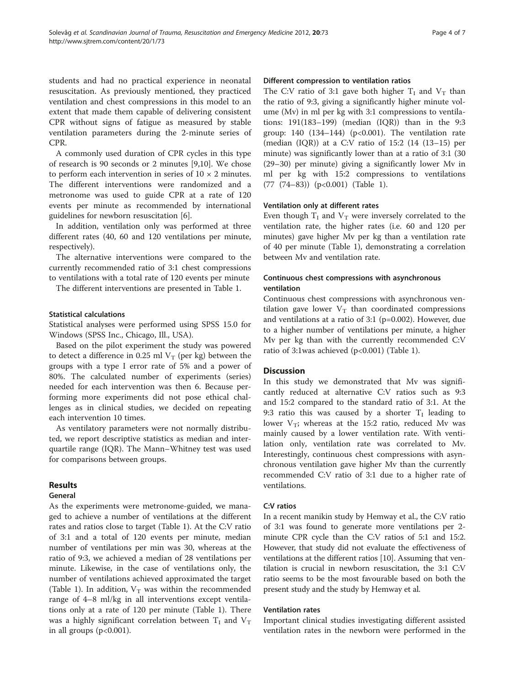students and had no practical experience in neonatal resuscitation. As previously mentioned, they practiced ventilation and chest compressions in this model to an extent that made them capable of delivering consistent CPR without signs of fatigue as measured by stable ventilation parameters during the 2-minute series of CPR.

A commonly used duration of CPR cycles in this type of research is 90 seconds or 2 minutes [\[9,10\]](#page-5-0). We chose to perform each intervention in series of  $10 \times 2$  minutes. The different interventions were randomized and a metronome was used to guide CPR at a rate of 120 events per minute as recommended by international guidelines for newborn resuscitation [[6\]](#page-5-0).

In addition, ventilation only was performed at three different rates (40, 60 and 120 ventilations per minute, respectively).

The alternative interventions were compared to the currently recommended ratio of 3:1 chest compressions to ventilations with a total rate of 120 events per minute

The different interventions are presented in Table [1](#page-2-0).

#### Statistical calculations

Statistical analyses were performed using SPSS 15.0 for Windows (SPSS Inc., Chicago, Ill., USA).

Based on the pilot experiment the study was powered to detect a difference in 0.25 ml  $V_T$  (per kg) between the groups with a type I error rate of 5% and a power of 80%. The calculated number of experiments (series) needed for each intervention was then 6. Because performing more experiments did not pose ethical challenges as in clinical studies, we decided on repeating each intervention 10 times.

As ventilatory parameters were not normally distributed, we report descriptive statistics as median and interquartile range (IQR). The Mann–Whitney test was used for comparisons between groups.

# Results

# General

As the experiments were metronome-guided, we managed to achieve a number of ventilations at the different rates and ratios close to target (Table [1](#page-2-0)). At the C:V ratio of 3:1 and a total of 120 events per minute, median number of ventilations per min was 30, whereas at the ratio of 9:3, we achieved a median of 28 ventilations per minute. Likewise, in the case of ventilations only, the number of ventilations achieved approximated the target (Table [1\)](#page-2-0). In addition,  $V_T$  was within the recommended range of 4–8 ml/kg in all interventions except ventilations only at a rate of 120 per minute (Table [1](#page-2-0)). There was a highly significant correlation between  $T_I$  and  $V_T$ in all groups  $(p<0.001)$ .

#### Different compression to ventilation ratios

The C:V ratio of 3:1 gave both higher  $T_1$  and  $V_T$  than the ratio of 9:3, giving a significantly higher minute volume (Mv) in ml per kg with 3:1 compressions to ventilations: 191(183–199) (median (IQR)) than in the 9:3 group:  $140$   $(134-144)$   $(p<0.001)$ . The ventilation rate (median (IQR)) at a C:V ratio of 15:2 (14 (13–15) per minute) was significantly lower than at a ratio of 3:1 (30 (29–30) per minute) giving a significantly lower Mv in ml per kg with 15:2 compressions to ventilations (77 (74–83)) (p<0.001) (Table [1](#page-2-0)).

#### Ventilation only at different rates

Even though  $T_I$  and  $V_T$  were inversely correlated to the ventilation rate, the higher rates (i.e. 60 and 120 per minutes) gave higher Mv per kg than a ventilation rate of 40 per minute (Table [1\)](#page-2-0), demonstrating a correlation between Mv and ventilation rate.

## Continuous chest compressions with asynchronous ventilation

Continuous chest compressions with asynchronous ventilation gave lower  $V_T$  than coordinated compressions and ventilations at a ratio of 3:1 (p=0.002). However, due to a higher number of ventilations per minute, a higher Mv per kg than with the currently recommended C:V ratio of 3:1was achieved (p<0.001) (Table [1\)](#page-2-0).

#### **Discussion**

In this study we demonstrated that Mv was significantly reduced at alternative C:V ratios such as 9:3 and 15:2 compared to the standard ratio of 3:1. At the 9:3 ratio this was caused by a shorter  $T_I$  leading to lower  $V_T$ ; whereas at the 15:2 ratio, reduced Mv was mainly caused by a lower ventilation rate. With ventilation only, ventilation rate was correlated to Mv. Interestingly, continuous chest compressions with asynchronous ventilation gave higher Mv than the currently recommended C:V ratio of 3:1 due to a higher rate of ventilations.

#### C:V ratios

In a recent manikin study by Hemway et al., the C:V ratio of 3:1 was found to generate more ventilations per 2 minute CPR cycle than the C:V ratios of 5:1 and 15:2. However, that study did not evaluate the effectiveness of ventilations at the different ratios [[10](#page-5-0)]. Assuming that ventilation is crucial in newborn resuscitation, the 3:1 C:V ratio seems to be the most favourable based on both the present study and the study by Hemway et al.

#### Ventilation rates

Important clinical studies investigating different assisted ventilation rates in the newborn were performed in the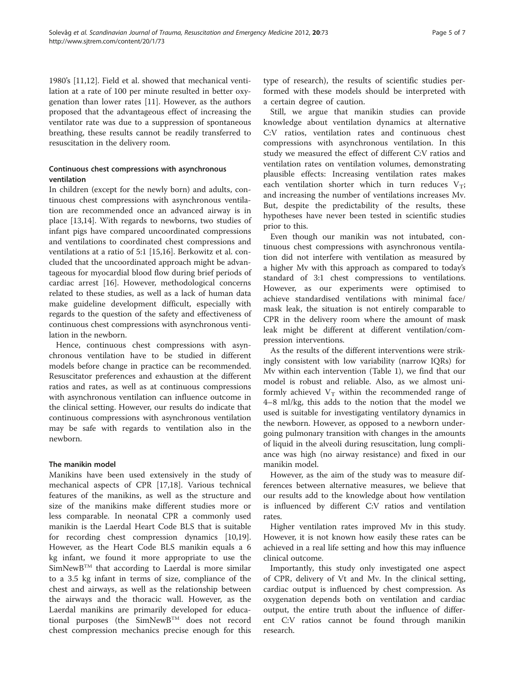1980's [[11,12\]](#page-5-0). Field et al. showed that mechanical ventilation at a rate of 100 per minute resulted in better oxygenation than lower rates [\[11](#page-5-0)]. However, as the authors proposed that the advantageous effect of increasing the ventilator rate was due to a suppression of spontaneous breathing, these results cannot be readily transferred to resuscitation in the delivery room.

# Continuous chest compressions with asynchronous ventilation

In children (except for the newly born) and adults, continuous chest compressions with asynchronous ventilation are recommended once an advanced airway is in place [[13](#page-5-0),[14](#page-5-0)]. With regards to newborns, two studies of infant pigs have compared uncoordinated compressions and ventilations to coordinated chest compressions and ventilations at a ratio of 5:1 [[15](#page-5-0),[16](#page-5-0)]. Berkowitz et al. concluded that the uncoordinated approach might be advantageous for myocardial blood flow during brief periods of cardiac arrest [\[16](#page-5-0)]. However, methodological concerns related to these studies, as well as a lack of human data make guideline development difficult, especially with regards to the question of the safety and effectiveness of continuous chest compressions with asynchronous ventilation in the newborn.

Hence, continuous chest compressions with asynchronous ventilation have to be studied in different models before change in practice can be recommended. Resuscitator preferences and exhaustion at the different ratios and rates, as well as at continuous compressions with asynchronous ventilation can influence outcome in the clinical setting. However, our results do indicate that continuous compressions with asynchronous ventilation may be safe with regards to ventilation also in the newborn.

# The manikin model

Manikins have been used extensively in the study of mechanical aspects of CPR [\[17](#page-5-0)[,18](#page-6-0)]. Various technical features of the manikins, as well as the structure and size of the manikins make different studies more or less comparable. In neonatal CPR a commonly used manikin is the Laerdal Heart Code BLS that is suitable for recording chest compression dynamics [\[10](#page-5-0)[,19](#page-6-0)]. However, as the Heart Code BLS manikin equals a 6 kg infant, we found it more appropriate to use the SimNewBTM that according to Laerdal is more similar to a 3.5 kg infant in terms of size, compliance of the chest and airways, as well as the relationship between the airways and the thoracic wall. However, as the Laerdal manikins are primarily developed for educational purposes (the SimNewBTM does not record chest compression mechanics precise enough for this

type of research), the results of scientific studies performed with these models should be interpreted with a certain degree of caution.

Still, we argue that manikin studies can provide knowledge about ventilation dynamics at alternative C:V ratios, ventilation rates and continuous chest compressions with asynchronous ventilation. In this study we measured the effect of different C:V ratios and ventilation rates on ventilation volumes, demonstrating plausible effects: Increasing ventilation rates makes each ventilation shorter which in turn reduces  $V_T$ ; and increasing the number of ventilations increases Mv. But, despite the predictability of the results, these hypotheses have never been tested in scientific studies prior to this.

Even though our manikin was not intubated, continuous chest compressions with asynchronous ventilation did not interfere with ventilation as measured by a higher Mv with this approach as compared to today's standard of 3:1 chest compressions to ventilations. However, as our experiments were optimised to achieve standardised ventilations with minimal face/ mask leak, the situation is not entirely comparable to CPR in the delivery room where the amount of mask leak might be different at different ventilation/compression interventions.

As the results of the different interventions were strikingly consistent with low variability (narrow IQRs) for Mv within each intervention (Table [1](#page-2-0)), we find that our model is robust and reliable. Also, as we almost uniformly achieved  $V_T$  within the recommended range of 4–8 ml/kg, this adds to the notion that the model we used is suitable for investigating ventilatory dynamics in the newborn. However, as opposed to a newborn undergoing pulmonary transition with changes in the amounts of liquid in the alveoli during resuscitation, lung compliance was high (no airway resistance) and fixed in our manikin model.

However, as the aim of the study was to measure differences between alternative measures, we believe that our results add to the knowledge about how ventilation is influenced by different C:V ratios and ventilation rates.

Higher ventilation rates improved Mv in this study. However, it is not known how easily these rates can be achieved in a real life setting and how this may influence clinical outcome.

Importantly, this study only investigated one aspect of CPR, delivery of Vt and Mv. In the clinical setting, cardiac output is influenced by chest compression. As oxygenation depends both on ventilation and cardiac output, the entire truth about the influence of different C:V ratios cannot be found through manikin research.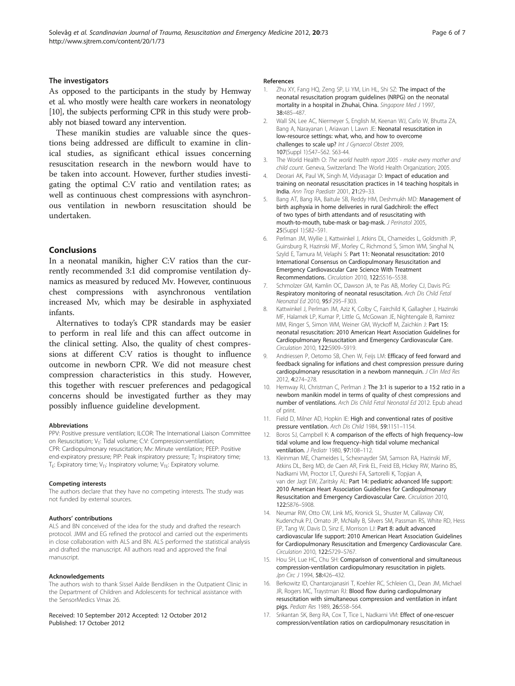#### <span id="page-5-0"></span>The investigators

As opposed to the participants in the study by Hemway et al. who mostly were health care workers in neonatology [10], the subjects performing CPR in this study were probably not biased toward any intervention.

These manikin studies are valuable since the questions being addressed are difficult to examine in clinical studies, as significant ethical issues concerning resuscitation research in the newborn would have to be taken into account. However, further studies investigating the optimal C:V ratio and ventilation rates; as well as continuous chest compressions with asynchronous ventilation in newborn resuscitation should be undertaken.

#### Conclusions

In a neonatal manikin, higher C:V ratios than the currently recommended 3:1 did compromise ventilation dynamics as measured by reduced Mv. However, continuous chest compressions with asynchronous ventilation increased Mv, which may be desirable in asphyxiated infants.

Alternatives to today's CPR standards may be easier to perform in real life and this can affect outcome in the clinical setting. Also, the quality of chest compressions at different C:V ratios is thought to influence outcome in newborn CPR. We did not measure chest compression characteristics in this study. However, this together with rescuer preferences and pedagogical concerns should be investigated further as they may possibly influence guideline development.

#### Abbreviations

PPV: Positive pressure ventilation; ILCOR: The International Liaison Committee on Resuscitation; V<sub>T</sub>: Tidal volume; C:V: Compression:ventilation; CPR: Cardiopulmonary resuscitation; Mv: Minute ventilation; PEEP: Positive end-expiratory pressure; PIP: Peak inspiratory pressure; T<sub>i</sub>: Inspiratory time; T<sub>E</sub>: Expiratory time; V<sub>TI</sub>: Inspiratory volume; V<sub>TE</sub>: Expiratory volume.

#### Competing interests

The authors declare that they have no competing interests. The study was not funded by external sources.

#### Authors' contributions

ALS and BN conceived of the idea for the study and drafted the research protocol. JMM and EG refined the protocol and carried out the experiments in close collaboration with ALS and BN. ALS performed the statistical analysis and drafted the manuscript. All authors read and approved the final manuscript.

#### Acknowledgements

The authors wish to thank Sissel Aalde Bendiksen in the Outpatient Clinic in the Department of Children and Adolescents for technical assistance with the SensorMedics Vmax 26.

Received: 10 September 2012 Accepted: 12 October 2012 Published: 17 October 2012

#### References

- 1. Zhu XY, Fang HO, Zeng SP, Li YM, Lin HL, Shi SZ: The impact of the neonatal resuscitation program guidelines (NRPG) on the neonatal mortality in a hospital in Zhuhai, China. Singapore Med J 1997, 38:485–487.
- 2. Wall SN, Lee AC, Niermeyer S, English M, Keenan WJ, Carlo W, Bhutta ZA, Bang A, Narayanan I, Ariawan I, Lawn JE: Neonatal resuscitation in low-resource settings: what, who, and how to overcome challenges to scale up? Int J Gynaecol Obstet 2009, 107(Suppl 1):S47–S62. S63-44.
- 3. The World Health O: The world health report 2005 make every mother and child count. Geneva, Switzerland: The World Health Organization; 2005.
- Deorari AK, Paul VK, Singh M, Vidyasagar D: Impact of education and training on neonatal resuscitation practices in 14 teaching hospitals in India. Ann Trop Paediatr 2001, 21:29–33.
- Bang AT, Bang RA, Baitule SB, Reddy HM, Deshmukh MD: Management of birth asphyxia in home deliveries in rural Gadchiroli: the effect of two types of birth attendants and of resuscitating with mouth-to-mouth, tube-mask or bag-mask. J Perinatol 2005, 25(Suppl 1):S82–S91.
- 6. Perlman JM, Wyllie J, Kattwinkel J, Atkins DL, Chameides L, Goldsmith JP, Guinsburg R, Hazinski MF, Morley C, Richmond S, Simon WM, Singhal N, Szyld E, Tamura M, Velaphi S: Part 11: Neonatal resuscitation: 2010 International Consensus on Cardiopulmonary Resuscitation and Emergency Cardiovascular Care Science With Treatment Recommendations. Circulation 2010, 122:S516–S538.
- 7. Schmolzer GM, Kamlin OC, Dawson JA, te Pas AB, Morley CJ, Davis PG: Respiratory monitoring of neonatal resuscitation. Arch Dis Child Fetal Neonatal Ed 2010, 95:F295–F303.
- 8. Kattwinkel J, Perlman JM, Aziz K, Colby C, Fairchild K, Gallagher J, Hazinski MF, Halamek LP, Kumar P, Little G, McGowan JE, Nightengale B, Ramirez MM, Ringer S, Simon WM, Weiner GM, Wyckoff M, Zaichkin J: Part 15: neonatal resuscitation: 2010 American Heart Association Guidelines for Cardiopulmonary Resuscitation and Emergency Cardiovascular Care. Circulation 2010, 122:S909–S919.
- 9. Andriessen P, Oetomo SB, Chen W, Feijs LM: Efficacy of feed forward and feedback signaling for inflations and chest compression pressure during cardiopulmonary resuscitation in a newborn mannequin. J Clin Med Res 2012, 4:274–278.
- 10. Hemway RJ, Christman C, Perlman J: The 3:1 is superior to a 15:2 ratio in a newborn manikin model in terms of quality of chest compressions and number of ventilations. Arch Dis Child Fetal Neonatal Ed 2012. Epub ahead of print.
- 11. Field D, Milner AD, Hopkin IE: High and conventional rates of positive pressure ventilation. Arch Dis Child 1984, 59:1151–1154.
- 12. Boros SJ, Campbell K: A comparison of the effects of high frequency-low tidal volume and low frequency–high tidal volume mechanical ventilation. *J Pediatr* 1980, 97:108-112.
- 13. Kleinman ME, Chameides L, Schexnayder SM, Samson RA, Hazinski MF, Atkins DL, Berg MD, de Caen AR, Fink EL, Freid EB, Hickey RW, Marino BS, Nadkarni VM, Proctor LT, Qureshi FA, Sartorelli K, Topjian A, van der Jagt EW, Zaritsky AL: Part 14: pediatric advanced life support: 2010 American Heart Association Guidelines for Cardiopulmonary Resuscitation and Emergency Cardiovascular Care. Circulation 2010, 122:S876–S908.
- 14. Neumar RW, Otto CW, Link MS, Kronick SL, Shuster M, Callaway CW, Kudenchuk PJ, Ornato JP, McNally B, Silvers SM, Passman RS, White RD, Hess EP, Tang W, Davis D, Sinz E, Morrison LJ: Part 8: adult advanced cardiovascular life support: 2010 American Heart Association Guidelines for Cardiopulmonary Resuscitation and Emergency Cardiovascular Care. Circulation 2010, 122:S729–S767.
- 15. Hou SH, Lue HC, Chu SH: Comparison of conventional and simultaneous compression-ventilation cardiopulmonary resuscitation in piglets. Jpn Circ J 1994, 58:426-432.
- 16. Berkowitz ID, Chantarojanasiri T, Koehler RC, Schleien CL, Dean JM, Michael JR, Rogers MC, Traystman RJ: Blood flow during cardiopulmonary resuscitation with simultaneous compression and ventilation in infant pigs. Pediatr Res 1989, 26:558–564.
- 17. Srikantan SK, Berg RA, Cox T, Tice L, Nadkarni VM: Effect of one-rescuer compression/ventilation ratios on cardiopulmonary resuscitation in